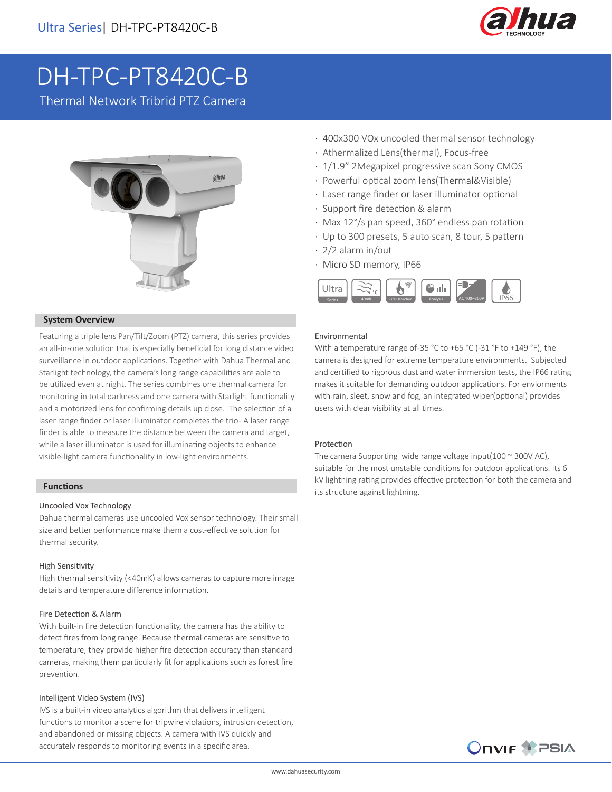

# DH-TPC-PT8420C-B

Thermal Network Tribrid PTZ Camera



# **System Overview**

Featuring a triple lens Pan/Tilt/Zoom (PTZ) camera, this series provides an all-in-one solution that is especially beneficial for long distance video surveillance in outdoor applications. Together with Dahua Thermal and Starlight technology, the camera's long range capabilities are able to be utilized even at night. The series combines one thermal camera for monitoring in total darkness and one camera with Starlight functionality and a motorized lens for confirming details up close. The selection of a laser range finder or laser illuminator completes the trio- A laser range finder is able to measure the distance between the camera and target, while a laser illuminator is used for illuminating objects to enhance visible-light camera functionality in low-light environments.

# **Functions**

### Uncooled Vox Technology

Dahua thermal cameras use uncooled Vox sensor technology. Their small size and better performance make them a cost-effective solution for thermal security.

### High Sensitivity

High thermal sensitivity (<40mK) allows cameras to capture more image details and temperature difference information.

#### Fire Detection & Alarm

With built-in fire detection functionality, the camera has the ability to detect fires from long range. Because thermal cameras are sensitive to temperature, they provide higher fire detection accuracy than standard cameras, making them particularly fit for applications such as forest fire prevention.

#### Intelligent Video System (IVS)

IVS is a built-in video analytics algorithm that delivers intelligent functions to monitor a scene for tripwire violations, intrusion detection, and abandoned or missing objects. A camera with IVS quickly and accurately responds to monitoring events in a specific area.

- · 400x300 VOx uncooled thermal sensor technology
- · Athermalized Lens(thermal), Focus-free
- · 1/1.9" 2Megapixel progressive scan Sony CMOS
- · Powerful optical zoom lens(Thermal&Visible)
- · Laser range finder or laser illuminator optional
- · Support fire detection & alarm
- · Max 12°/s pan speed, 360° endless pan rotation
- · Up to 300 presets, 5 auto scan, 8 tour, 5 pattern
- · 2/2 alarm in/out
- · Micro SD memory, IP66



#### Environmental

With a temperature range of-35 °C to +65 °C (-31 °F to +149 °F), the camera is designed for extreme temperature environments. Subjected and certified to rigorous dust and water immersion tests, the IP66 rating makes it suitable for demanding outdoor applications. For enviorments with rain, sleet, snow and fog, an integrated wiper(optional) provides users with clear visibility at all times.

#### Protection

The camera Supporting wide range voltage input(100  $\sim$  300V AC), suitable for the most unstable conditions for outdoor applications. Its 6 kV lightning rating provides effective protection for both the camera and its structure against lightning.

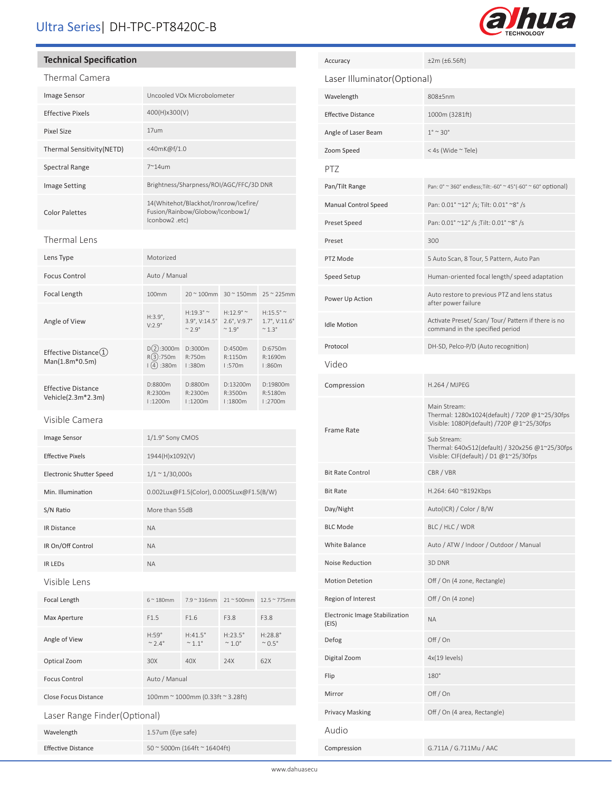# Ultra Series| DH-TPC-PT8420C-B



# **Technical Specification**

# Thermal Camera

| <b>Image Sensor</b>        | Uncooled VOx Microbolometer                                                                |
|----------------------------|--------------------------------------------------------------------------------------------|
| <b>Effective Pixels</b>    | 400(H)x300(V)                                                                              |
| <b>Pixel Size</b>          | 17um                                                                                       |
| Thermal Sensitivity (NETD) | <40mK@f/1.0                                                                                |
| Spectral Range             | $7^{\sim}$ 14um                                                                            |
| <b>Image Setting</b>       | Brightness/Sharpness/ROI/AGC/FFC/3D DNR                                                    |
| <b>Color Palettes</b>      | 14(Whitehot/Blackhot/Ironrow/Icefire/<br>Fusion/Rainbow/Globow/Iconbow1/<br>lconbow2 .etc) |
| Thermal Lens               |                                                                                            |
| Lens Type                  | Motorized                                                                                  |
| <b>Focus Control</b>       | Auto / Manual                                                                              |

| Focal Length                                    | 100mm                                 |                                                              | $20 \approx 100$ mm $30 \approx 150$ mm $25 \approx 225$ mm                     |                                                     |
|-------------------------------------------------|---------------------------------------|--------------------------------------------------------------|---------------------------------------------------------------------------------|-----------------------------------------------------|
| Angle of View                                   | $H:3.9^{\circ}$ ,<br>$V:2.9^\circ$    | $H:19.3^\circ \sim$<br>3.9°, V:14.5°<br>$\sim$ 2 $9^{\circ}$ | $H:12.9^{\circ}$ ~<br>$2.6^{\circ}$ , V:9.7 $^{\circ}$<br>$~\sim$ 1 $9^{\circ}$ | $H:15.5^{\circ}$ ~<br>1.7°, V:11.6°<br>$~\sim$ 1 3° |
| Effective Distance(1)<br>$Man(1.8m*0.5m)$       | D(2):3000m<br>R(3):750m<br>(4) : 380m | D:3000m<br>R:750m<br>1:380m                                  | D:4500m<br>R:1150m<br>1:570m                                                    | D:6750m<br>R:1690m<br>1:860m                        |
| <b>Effective Distance</b><br>Vehicle(2.3m*2.3m) | D:8800m<br>R:2300m<br>1:1200m         | D:8800m<br>R:2300m<br>1:1200m                                | D:13200m<br>R:3500m<br>1:1800m                                                  | D:19800m<br>R:5180m<br>1:2700m                      |

# Visible Camera

| Image Sensor                    | 1/1.9" Sony CMOS                          |                                              |                                              |                                  |
|---------------------------------|-------------------------------------------|----------------------------------------------|----------------------------------------------|----------------------------------|
| <b>Effective Pixels</b>         | 1944(H)x1092(V)                           |                                              |                                              |                                  |
| <b>Electronic Shutter Speed</b> | $1/1 \sim 1/30,000s$                      |                                              |                                              |                                  |
| Min. Illumination               | 0.002Lux@F1.5(Color), 0.0005Lux@F1.5(B/W) |                                              |                                              |                                  |
| S/N Ratio                       | More than 55dB                            |                                              |                                              |                                  |
| <b>IR Distance</b>              | <b>NA</b>                                 |                                              |                                              |                                  |
| IR On/Off Control               | <b>NA</b>                                 |                                              |                                              |                                  |
| <b>IR LEDS</b>                  | <b>NA</b>                                 |                                              |                                              |                                  |
| Visible Lens                    |                                           |                                              |                                              |                                  |
| Focal Length                    | $6^\sim 180$ mm                           | $7.9 \approx 316$ mm                         | $21 \approx 500$ mm                          | $12.5 \approx 775$ mm            |
| Max Aperture                    | F1.5                                      | F1.6                                         | F3.8                                         | F3.8                             |
| Angle of View                   | $H:59^\circ$<br>$\sim$ 2.4 $\degree$      | $H:41.5^\circ$<br>$~^{\circ}$ 1.1 $^{\circ}$ | $H:23.5^\circ$<br>$~^{\circ}$ 1.0 $^{\circ}$ | $H:28.8^{\circ}$<br>$\sim 0.5$ ° |
| Optical Zoom                    | 30X                                       | 40X                                          | 24X                                          | 62X                              |
| <b>Focus Control</b>            | Auto / Manual                             |                                              |                                              |                                  |
| <b>Close Focus Distance</b>     |                                           | 100mm ~ 1000mm (0.33ft ~ 3.28ft)             |                                              |                                  |
| Laser Range Finder(Optional)    |                                           |                                              |                                              |                                  |
| Wavelength                      | 1.57um (Eye safe)                         |                                              |                                              |                                  |
| <b>Effective Distance</b>       |                                           | 50~5000m (164ft~16404ft)                     |                                              |                                  |

| Accuracy                                | $±2m$ ( $±6.56ft$ )                                                                                         |
|-----------------------------------------|-------------------------------------------------------------------------------------------------------------|
| Laser Illuminator (Optional)            |                                                                                                             |
| Wavelength                              | 808±5nm                                                                                                     |
| <b>Effective Distance</b>               | 1000m (3281ft)                                                                                              |
| Angle of Laser Beam                     | $1^\circ \sim 30^\circ$                                                                                     |
| Zoom Speed                              | < 4s (Wide ~ Tele)                                                                                          |
| PTZ                                     |                                                                                                             |
| Pan/Tilt Range                          | Pan: $0^{\circ}$ ~ 360° endless; Tilt: -60° ~ 45° (-60° ~ 60° optional)                                     |
| <b>Manual Control Speed</b>             | Pan: 0.01° ~12° /s; Tilt: 0.01° ~8° /s                                                                      |
| Preset Speed                            | Pan: 0.01° ~12° /s ; Tilt: 0.01° ~8° /s                                                                     |
| Preset                                  | 300                                                                                                         |
| PTZ Mode                                | 5 Auto Scan, 8 Tour, 5 Pattern, Auto Pan                                                                    |
| Speed Setup                             | Human-oriented focal length/speed adaptation                                                                |
| Power Up Action                         | Auto restore to previous PTZ and lens status<br>after power failure                                         |
| <b>Idle Motion</b>                      | Activate Preset/ Scan/ Tour/ Pattern if there is no<br>command in the specified period                      |
| Protocol                                | DH-SD, Pelco-P/D (Auto recognition)                                                                         |
| Video                                   |                                                                                                             |
| Compression                             | H.264 / MJPEG                                                                                               |
| <b>Frame Rate</b>                       | Main Stream:<br>Thermal: 1280x1024(default) / 720P @1~25/30fps<br>Visible: 1080P(default) /720P @1~25/30fps |
|                                         | Sub Stream:<br>Thermal: 640x512(default) / 320x256 @1~25/30fps<br>Visible: CIF(default) / D1 @1~25/30fps    |
| <b>Bit Rate Control</b>                 | CBR / VBR                                                                                                   |
| <b>Bit Rate</b>                         | H.264: 640 ~8192Kbps                                                                                        |
| Day/Night                               | Auto(ICR) / Color / B/W                                                                                     |
| <b>BLC Mode</b>                         | BLC / HLC / WDR                                                                                             |
| White Balance                           | Auto / ATW / Indoor / Outdoor / Manual                                                                      |
| Noise Reduction                         | 3D DNR                                                                                                      |
| <b>Motion Detetion</b>                  | Off / On (4 zone, Rectangle)                                                                                |
| Region of Interest                      | Off / On (4 zone)                                                                                           |
| Electronic Image Stabilization<br>(EIS) | <b>NA</b>                                                                                                   |
| Defog                                   | Off/On                                                                                                      |
| Digital Zoom                            | 4x(19 levels)                                                                                               |
| Flip                                    | 180°                                                                                                        |
| Mirror                                  | Off / On                                                                                                    |
| <b>Privacy Masking</b>                  | Off / On (4 area, Rectangle)                                                                                |
| Audio                                   |                                                                                                             |
| Compression                             | G.711A / G.711Mu / AAC                                                                                      |